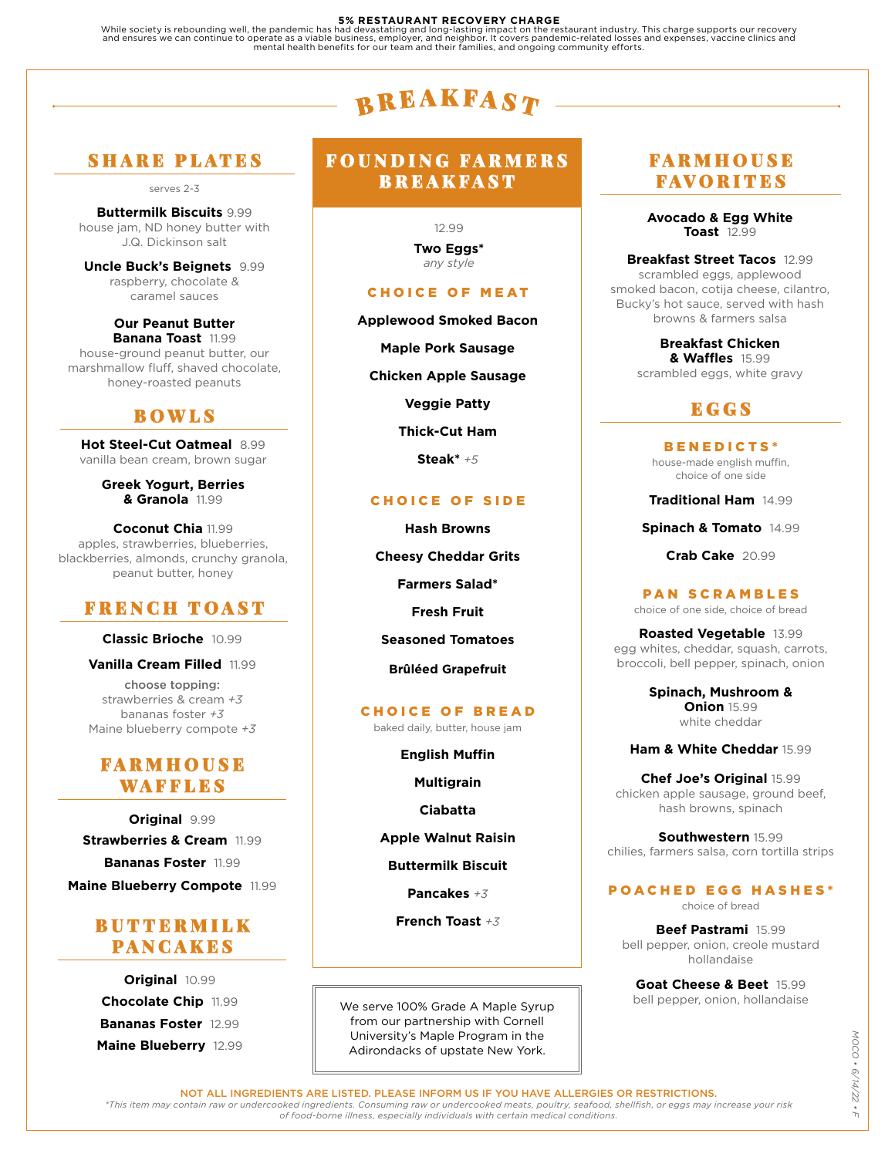#### **5% RESTAURANT RECOVERY CHARGE**

While society is rebounding well, the pandemic has had devastating and long-lasting impact on the restaurant industry. This charge supports our recovery<br>and ensures we can continue to operate as a viable business, employer

# ${\bf B}$  R E A K F A S  ${\bm T}$

# SHARE PLATES

serves 2-3

**Buttermilk Biscuits** 9.99 house jam, ND honey butter with J.Q. Dickinson salt

**Uncle Buck's Beignets** 9.99 raspberry, chocolate & caramel sauces

**Our Peanut Butter Banana Toast** 11.99 house-ground peanut butter, our marshmallow fluff, shaved chocolate, honey-roasted peanuts

### BOWLS

**Hot Steel-Cut Oatmeal** 8.99 vanilla bean cream, brown sugar

> **Greek Yogurt, Berries & Granola** 11.99

**Coconut Chia** 11.99 apples, strawberries, blueberries, blackberries, almonds, crunchy granola, peanut butter, honey

## FRENCH TOAST

**Classic Brioche** 10.99

**Vanilla Cream Filled** 11.99

choose topping: strawberries & cream *+3* bananas foster *+3* Maine blueberry compote *+3*

### FARMHOUSE WAFFLES

**Original** 9.99 **Strawberries & Cream** 11.99 **Bananas Foster** 11.99 **Maine Blueberry Compote** 11.99

## BUTTERMILK PANCAKES

**Original** 10.99 **Chocolate Chip** 11.99 **Bananas Foster** 12.99 **Maine Blueberry** 12.99

### FOUNDING FARMERS BREAKFAST

12.99 **Two Eggs\***

*any style*

### CHOICE OF MEAT

**Applewood Smoked Bacon**

**Maple Pork Sausage**

**Chicken Apple Sausage**

**Veggie Patty**

**Thick-Cut Ham**

**Steak\*** *+5*

### CHOICE OF SIDE

**Hash Browns Cheesy Cheddar Grits Farmers Salad\* Fresh Fruit**

**Seasoned Tomatoes**

**Brûléed Grapefruit**

### CHOICE OF BREAD

baked daily, butter, house jam

**English Muffin**

**Multigrain**

**Ciabatta**

**Apple Walnut Raisin**

**Buttermilk Biscuit**

**Pancakes** *+3*

**French Toast** *+3*

We serve 100% Grade A Maple Syrup from our partnership with Cornell University's Maple Program in the Adirondacks of upstate New York.

# **FARMHOUSE** FAVORITES

**Avocado & Egg White Toast** 12.99

**Breakfast Street Tacos** 12.99 scrambled eggs, applewood smoked bacon, cotija cheese, cilantro, Bucky's hot sauce, served with hash browns & farmers salsa

> **Breakfast Chicken & Waffles** 15.99 scrambled eggs, white gravy

## **EGGS**

BENEDICTS\* house-made english muffin, choice of one side

**Traditional Ham** 14.99

**Spinach & Tomato** 14.99

**Crab Cake** 20.99

PAN SCRAMBLES choice of one side, choice of bread

**Roasted Vegetable** 13.99 egg whites, cheddar, squash, carrots, broccoli, bell pepper, spinach, onion

> **Spinach, Mushroom & Onion** 15.99 white cheddar

**Ham & White Cheddar** 15.99

**Chef Joe's Original** 15.99 chicken apple sausage, ground beef, hash browns, spinach

**Southwestern** 15.99 chilies, farmers salsa, corn tortilla strips

### POACHED EGG HASHES\*

choice of bread

**Beef Pastrami** 15.99 bell pepper, onion, creole mustard hollandaise

**Goat Cheese & Beet** 15.99 bell pepper, onion, hollandaise

NOT ALL INGREDIENTS ARE LISTED. PLEASE INFORM US IF YOU HAVE ALLERGIES OR RESTRICTIONS.

*\*This item may contain raw or undercooked ingredients. Consuming raw or undercooked meats, poultry, seafood, shellfish, or eggs may increase your risk of food-borne illness, especially individuals with certain medical conditions.*